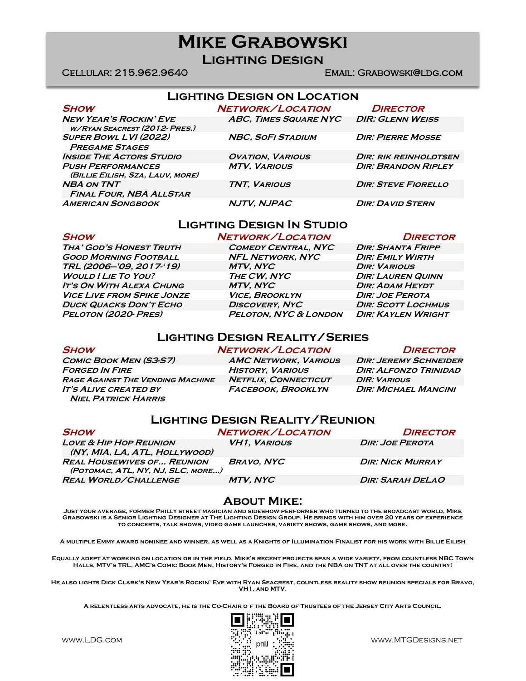# **Mike Grabowski**

**Lighting Design**

### Cellular: 215.962.9640 Email: Grabowski@ldg.com

## **Lighting Design on Location**

| <b>SHOW</b>                                                                                     | NETWORK/LOCATION                               | <b>DIRECTOR</b>                                     |
|-------------------------------------------------------------------------------------------------|------------------------------------------------|-----------------------------------------------------|
| <b>NEW YEAR'S ROCKIN' EVE</b><br>W/RYAN SEACREST (2012- PRES.)                                  | <b>ABC, TIMES SQUARE NYC</b>                   | <b>DIR: GLENN WEISS</b>                             |
| <b>SUPER BOWL LVI (2022)</b><br><b>PREGAME STAGES</b>                                           | <b>NBC, SOFI STADIUM</b>                       | <b>DIR: PIERRE MOSSE</b>                            |
| <b>INSIDE THE ACTORS STUDIO</b><br><b>PUSH PERFORMANCES</b><br>(BILLIE EILISH, SZA, LAUV, MORE) | <b>OVATION, VARIOUS</b><br><b>MTV, VARIOUS</b> | DIR: RIK REINHOLDTSEN<br><b>DIR: BRANDON RIPLEY</b> |
| <b>NBA ON TNT</b><br><b>FINAL FOUR, NBA ALLSTAR</b>                                             | <b>TNT. VARIOUS</b>                            | <b>DIR: STEVE FIORELLO</b>                          |
| <b>AMERICAN SONGBOOK</b>                                                                        | NJTV, NJPAC                                    | <b>DIR: DAVID STERN</b>                             |

## **Lighting Design In Studio**

**Tha' God's Honest Truth Comedy Central, NYC Dir: Shanta Fripp Good Morning Football NFL Network, NYC Dir: Emily Wirth TRL (2006—'09, 2017-'19) MTV, NYC Dir: Various Would I Lie To You? The CW, NYC Dir: Lauren Quinn IT's On With ALEXA CHUNG MTV, NYC DIR: ADAM HEYDT Vice Live from Spike Jonze Vice, Brooklyn Dir: Joe Perota Duck Quacks Don't Echo Discovery, NyC Dir: Scott Lochmus Peloton (2020- Pres) Peloton, NYC & London Dir: Kaylen Wright**

**Show Network/Location Director**

## **Lighting Design Reality/Series**

**Comic Book Men (S3-S7) AMC Network, Various Dir: Jeremy Schneider Forged In Fire History, Various Dir: Alfonzo Trinidad Rage Against The Vending Machine Netflix, Connecticut DIR: Various It's Alive created by Facebook, Brooklyn Dir: Michael Mancini Niel Patrick Harris**

**Show Network/Location Director**

## **Lighting Design Reality/Reunion**

| <b>SHOW</b>                                                            | NETWORK/LOCATION    | <b>DIRECTOR</b>         |
|------------------------------------------------------------------------|---------------------|-------------------------|
| <b>LOVE &amp; HIP HOP REUNION</b><br>(NY, MIA, LA, ATL, HOLLYWOOD)     | <b>VH1. VARIOUS</b> | <b>DIR: JOE PEROTA</b>  |
| <b>REAL HOUSEWIVES OF REUNION</b><br>(POTOMAC, ATL, NY, NJ, SLC, MORE) | <b>BRAVO, NYC</b>   | <b>DIR: NICK MURRAY</b> |
| <b>REAL WORLD/CHALLENGE</b>                                            | <b>MTV. NYC</b>     | <b>DIR: SARAH DELAO</b> |

## **About Mike:**

**Just your average, former Philly street magician and sideshow performer who turned to the broadcast world, Mike Grabowski is a Senior Lighting Designer at The Lighting Design Group. He brings with him over 20 years of experience to concerts, talk shows, video game launches, variety shows, game shows, and more.** 

**A multiple Emmy award nominee and winner, as well as a Knights of Illumination Finalist for his work with Billie Eilish**

**Equally adept at working on location or in the field, Mike's recent projects span a wide variety, from countless NBC Town Halls, MTV's TRL, AMC's Comic Book Men, History's Forged in Fire, and the NBA on TNT at all over the country!** 

**He also lights Dick Clark's New Year's Rockin' Eve with Ryan Seacrest, countless reality show reunion specials for Bravo, VH1, and MTV.**

**A relentless arts advocate, he is the Co-Chair o f the Board of Trustees of the Jersey City Arts Council.**



www.LDG.com  $\ddot{w}_{\ldots}$  and  $\ddot{w}_{\ldots}$  and  $\ddot{w}_{\ldots}$  and  $\ddot{w}_{\ldots}$  www.MTGDesigns.net